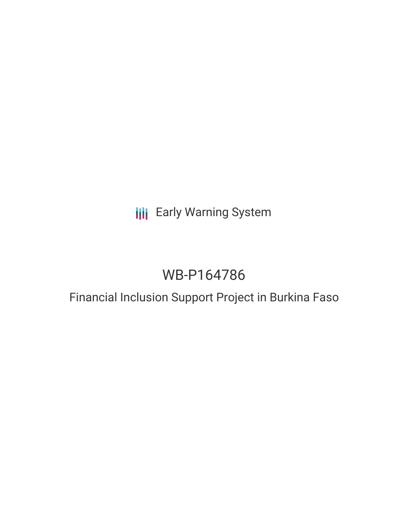## **III** Early Warning System

# WB-P164786

## Financial Inclusion Support Project in Burkina Faso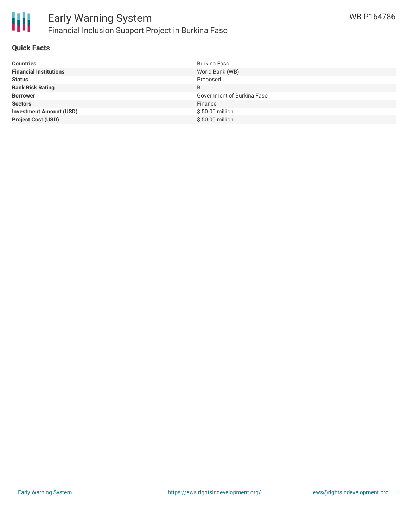

#### **Quick Facts**

| <b>Countries</b>               | Burkina Faso               |
|--------------------------------|----------------------------|
| <b>Financial Institutions</b>  | World Bank (WB)            |
| <b>Status</b>                  | Proposed                   |
| <b>Bank Risk Rating</b>        | B                          |
| <b>Borrower</b>                | Government of Burkina Faso |
| <b>Sectors</b>                 | Finance                    |
| <b>Investment Amount (USD)</b> | \$50.00 million            |
| <b>Project Cost (USD)</b>      | \$50.00 million            |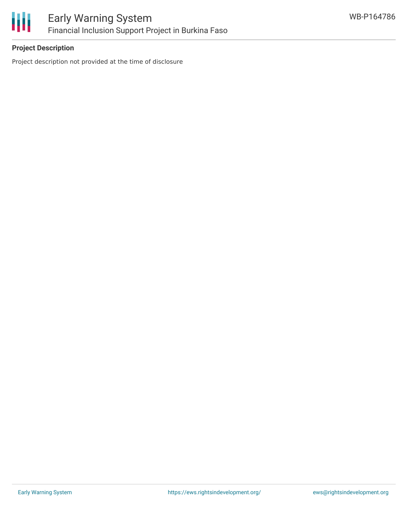

## **Project Description**

Project description not provided at the time of disclosure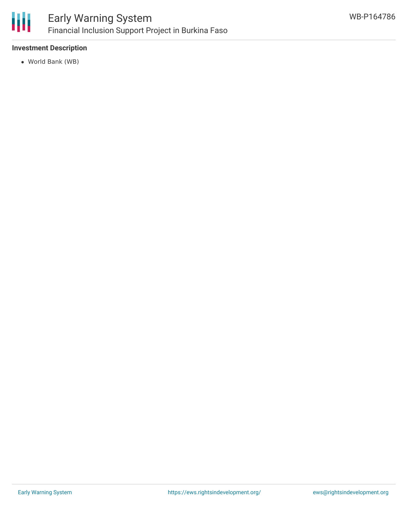

## **Investment Description**

World Bank (WB)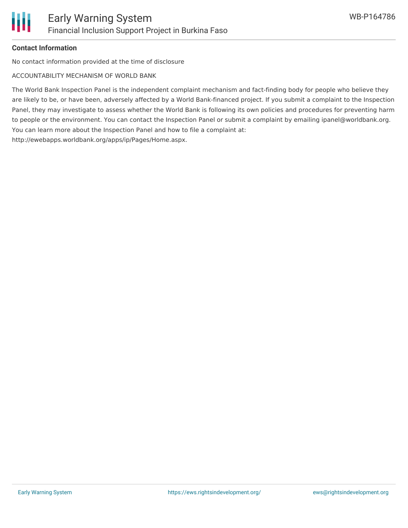

## **Contact Information**

No contact information provided at the time of disclosure

ACCOUNTABILITY MECHANISM OF WORLD BANK

The World Bank Inspection Panel is the independent complaint mechanism and fact-finding body for people who believe they are likely to be, or have been, adversely affected by a World Bank-financed project. If you submit a complaint to the Inspection Panel, they may investigate to assess whether the World Bank is following its own policies and procedures for preventing harm to people or the environment. You can contact the Inspection Panel or submit a complaint by emailing ipanel@worldbank.org. You can learn more about the Inspection Panel and how to file a complaint at: http://ewebapps.worldbank.org/apps/ip/Pages/Home.aspx.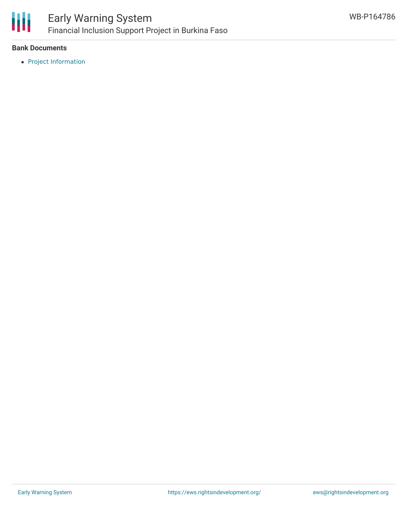

### **Bank Documents**

• Project [Information](http://projects.worldbank.org/P164786?lang=en)